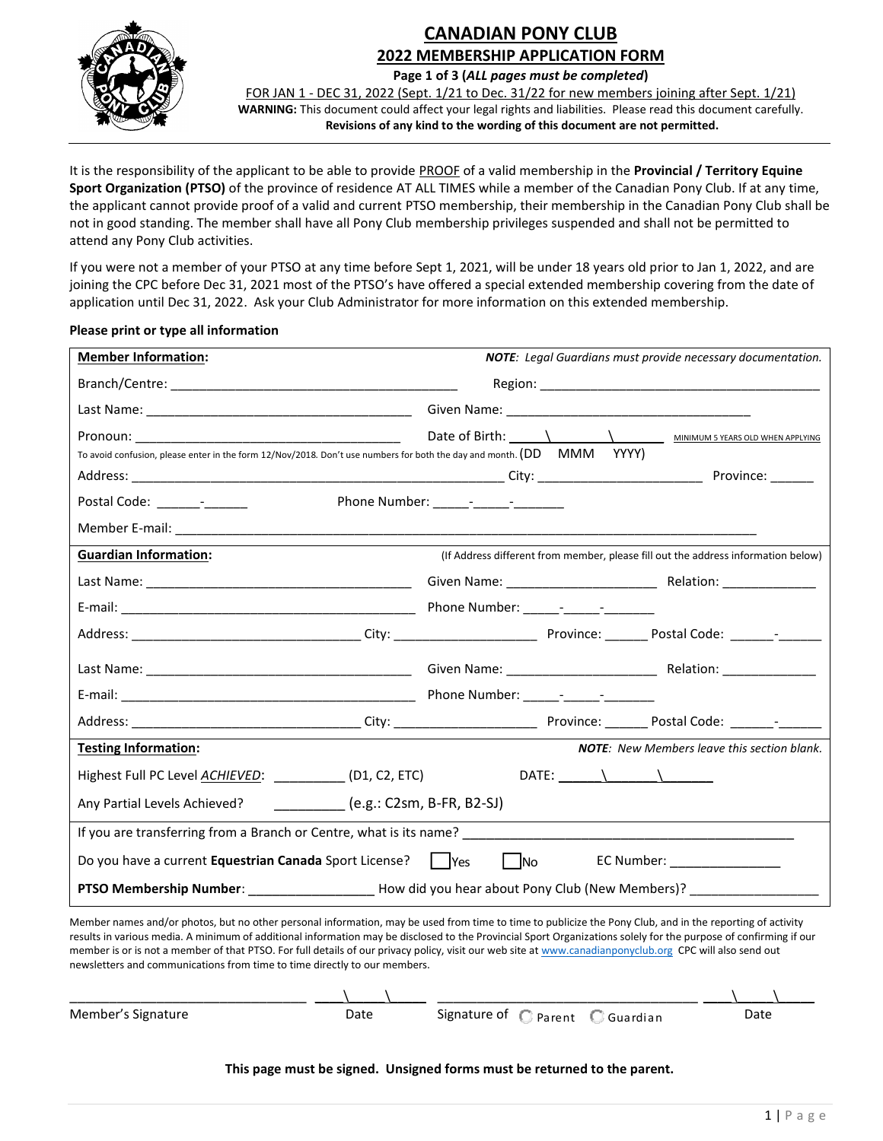

## **CANADIAN PONY CLUB 2022 MEMBERSHIP APPLICATION FORM**

**Page 1 of 3 (***ALL pages must be completed***)**

FOR JAN 1 - DEC 31, 2022 (Sept. 1/21 to Dec. 31/22 for new members joining after Sept. 1/21) **WARNING:** This document could affect your legal rights and liabilities. Please read this document carefully. **Revisions of any kind to the wording of this document are not permitted.**

It is the responsibility of the applicant to be able to provide PROOF of a valid membership in the **Provincial / Territory Equine Sport Organization (PTSO)** of the province of residence AT ALL TIMES while a member of the Canadian Pony Club. If at any time, the applicant cannot provide proof of a valid and current PTSO membership, their membership in the Canadian Pony Club shall be not in good standing. The member shall have all Pony Club membership privileges suspended and shall not be permitted to attend any Pony Club activities.

If you were not a member of your PTSO at any time before Sept 1, 2021, will be under 18 years old prior to Jan 1, 2022, and are joining the CPC before Dec 31, 2021 most of the PTSO's have offered a special extended membership covering from the date of application until Dec 31, 2022. Ask your Club Administrator for more information on this extended membership.

### **Please print or type all information**

| <b>Member Information:</b>                                                                                            | <b>NOTE:</b> Legal Guardians must provide necessary documentation.                |  |  |  |
|-----------------------------------------------------------------------------------------------------------------------|-----------------------------------------------------------------------------------|--|--|--|
|                                                                                                                       |                                                                                   |  |  |  |
|                                                                                                                       |                                                                                   |  |  |  |
|                                                                                                                       |                                                                                   |  |  |  |
| To avoid confusion, please enter in the form 12/Nov/2018. Don't use numbers for both the day and month. (DD MMM YYYY) |                                                                                   |  |  |  |
|                                                                                                                       |                                                                                   |  |  |  |
| Postal Code: ________________                                                                                         |                                                                                   |  |  |  |
|                                                                                                                       |                                                                                   |  |  |  |
| <b>Guardian Information:</b>                                                                                          | (If Address different from member, please fill out the address information below) |  |  |  |
|                                                                                                                       |                                                                                   |  |  |  |
|                                                                                                                       |                                                                                   |  |  |  |
|                                                                                                                       |                                                                                   |  |  |  |
|                                                                                                                       |                                                                                   |  |  |  |
|                                                                                                                       |                                                                                   |  |  |  |
|                                                                                                                       |                                                                                   |  |  |  |
| <b>Testing Information:</b>                                                                                           | <b>NOTE:</b> New Members leave this section blank.                                |  |  |  |
| Highest Full PC Level <u>ACHIEVED</u> : _____________ (D1, C2, ETC)                                                   |                                                                                   |  |  |  |
| Any Partial Levels Achieved? ____________(e.g.: C2sm, B-FR, B2-SJ)                                                    |                                                                                   |  |  |  |
|                                                                                                                       |                                                                                   |  |  |  |
| No EC Number: ________________                                                                                        |                                                                                   |  |  |  |
| PTSO Membership Number: Low tid you hear about Pony Club (New Members)?                                               |                                                                                   |  |  |  |

| Do you have a current <b>Equestrian Canada</b> Sport License?                                                                                                                                                                                                                                                                                                                                                                                                                                                                                                          |      | <b>IYes</b> | <b>INo</b>                       | EC Number:                                      |  |      |  |  |
|------------------------------------------------------------------------------------------------------------------------------------------------------------------------------------------------------------------------------------------------------------------------------------------------------------------------------------------------------------------------------------------------------------------------------------------------------------------------------------------------------------------------------------------------------------------------|------|-------------|----------------------------------|-------------------------------------------------|--|------|--|--|
| <b>PTSO Membership Number:</b>                                                                                                                                                                                                                                                                                                                                                                                                                                                                                                                                         |      |             |                                  | How did you hear about Pony Club (New Members)? |  |      |  |  |
| Member names and/or photos, but no other personal information, may be used from time to time to publicize the Pony Club, and in the reporting of activity<br>results in various media. A minimum of additional information may be disclosed to the Provincial Sport Organizations solely for the purpose of confirming if our<br>member is or is not a member of that PTSO. For full details of our privacy policy, visit our web site at www.canadianponyclub.org CPC will also send out<br>newsletters and communications from time to time directly to our members. |      |             |                                  |                                                 |  |      |  |  |
| Member's Signature                                                                                                                                                                                                                                                                                                                                                                                                                                                                                                                                                     | Date |             | Signature of C Parent C Guardian |                                                 |  | Date |  |  |
| This page must be signed. Unsigned forms must be returned to the parent.                                                                                                                                                                                                                                                                                                                                                                                                                                                                                               |      |             |                                  |                                                 |  |      |  |  |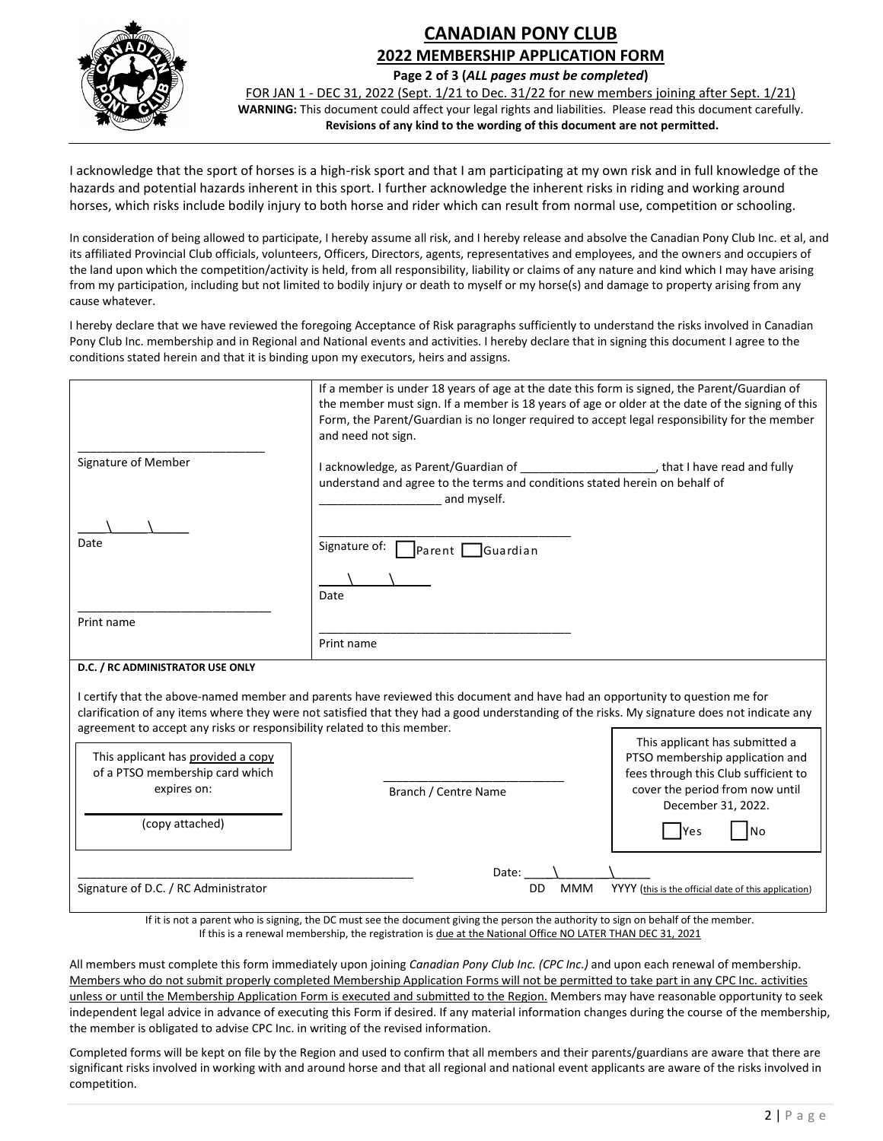

# **CANADIAN PONY CLUB 2022 MEMBERSHIP APPLICATION FORM**

**Page 2 of 3 (***ALL pages must be completed***)**

FOR JAN 1 - DEC 31, 2022 (Sept. 1/21 to Dec. 31/22 for new members joining after Sept. 1/21) **WARNING:** This document could affect your legal rights and liabilities. Please read this document carefully. **Revisions of any kind to the wording of this document are not permitted.**

I acknowledge that the sport of horses is a high-risk sport and that I am participating at my own risk and in full knowledge of the hazards and potential hazards inherent in this sport. I further acknowledge the inherent risks in riding and working around horses, which risks include bodily injury to both horse and rider which can result from normal use, competition or schooling.

In consideration of being allowed to participate, I hereby assume all risk, and I hereby release and absolve the Canadian Pony Club Inc. et al, and its affiliated Provincial Club officials, volunteers, Officers, Directors, agents, representatives and employees, and the owners and occupiers of the land upon which the competition/activity is held, from all responsibility, liability or claims of any nature and kind which I may have arising from my participation, including but not limited to bodily injury or death to myself or my horse(s) and damage to property arising from any cause whatever.

I hereby declare that we have reviewed the foregoing Acceptance of Risk paragraphs sufficiently to understand the risks involved in Canadian Pony Club Inc. membership and in Regional and National events and activities. I hereby declare that in signing this document I agree to the conditions stated herein and that it is binding upon my executors, heirs and assigns.

|                                                                                                                                                                                                                                                                                                                                                                                                                                                                    | If a member is under 18 years of age at the date this form is signed, the Parent/Guardian of<br>the member must sign. If a member is 18 years of age or older at the date of the signing of this<br>Form, the Parent/Guardian is no longer required to accept legal responsibility for the member<br>and need not sign. |                                                       |  |  |
|--------------------------------------------------------------------------------------------------------------------------------------------------------------------------------------------------------------------------------------------------------------------------------------------------------------------------------------------------------------------------------------------------------------------------------------------------------------------|-------------------------------------------------------------------------------------------------------------------------------------------------------------------------------------------------------------------------------------------------------------------------------------------------------------------------|-------------------------------------------------------|--|--|
| Signature of Member                                                                                                                                                                                                                                                                                                                                                                                                                                                | understand and agree to the terms and conditions stated herein on behalf of<br>and myself.                                                                                                                                                                                                                              |                                                       |  |  |
|                                                                                                                                                                                                                                                                                                                                                                                                                                                                    |                                                                                                                                                                                                                                                                                                                         |                                                       |  |  |
| Date                                                                                                                                                                                                                                                                                                                                                                                                                                                               | Signature of:<br>Guardian<br>Parent                                                                                                                                                                                                                                                                                     |                                                       |  |  |
|                                                                                                                                                                                                                                                                                                                                                                                                                                                                    |                                                                                                                                                                                                                                                                                                                         |                                                       |  |  |
|                                                                                                                                                                                                                                                                                                                                                                                                                                                                    | Date                                                                                                                                                                                                                                                                                                                    |                                                       |  |  |
| Print name                                                                                                                                                                                                                                                                                                                                                                                                                                                         |                                                                                                                                                                                                                                                                                                                         |                                                       |  |  |
|                                                                                                                                                                                                                                                                                                                                                                                                                                                                    |                                                                                                                                                                                                                                                                                                                         |                                                       |  |  |
|                                                                                                                                                                                                                                                                                                                                                                                                                                                                    | Print name                                                                                                                                                                                                                                                                                                              |                                                       |  |  |
| D.C. / RC ADMINISTRATOR USE ONLY                                                                                                                                                                                                                                                                                                                                                                                                                                   |                                                                                                                                                                                                                                                                                                                         |                                                       |  |  |
| I certify that the above-named member and parents have reviewed this document and have had an opportunity to question me for<br>clarification of any items where they were not satisfied that they had a good understanding of the risks. My signature does not indicate any<br>agreement to accept any risks or responsibility related to this member.<br>This applicant has submitted a<br>This applicant has provided a copy<br>PTSO membership application and |                                                                                                                                                                                                                                                                                                                         |                                                       |  |  |
| of a PTSO membership card which                                                                                                                                                                                                                                                                                                                                                                                                                                    |                                                                                                                                                                                                                                                                                                                         | fees through this Club sufficient to                  |  |  |
| expires on:                                                                                                                                                                                                                                                                                                                                                                                                                                                        | Branch / Centre Name                                                                                                                                                                                                                                                                                                    | cover the period from now until<br>December 31, 2022. |  |  |
| (copy attached)                                                                                                                                                                                                                                                                                                                                                                                                                                                    |                                                                                                                                                                                                                                                                                                                         | N <sub>o</sub><br>Yes                                 |  |  |
|                                                                                                                                                                                                                                                                                                                                                                                                                                                                    | Date:                                                                                                                                                                                                                                                                                                                   |                                                       |  |  |
| Signature of D.C. / RC Administrator                                                                                                                                                                                                                                                                                                                                                                                                                               | <b>DD</b><br><b>MMM</b>                                                                                                                                                                                                                                                                                                 | YYYY (this is the official date of this application)  |  |  |
|                                                                                                                                                                                                                                                                                                                                                                                                                                                                    | If it is not a naront who is circuing the DC must can the document civing the naron the outhority to cian an behalf of the member                                                                                                                                                                                       |                                                       |  |  |

If it is not a parent who is signing, the DC must see the document giving the person the authority to sign on behalf of the member. If this is a renewal membership, the registration is due at the National Office NO LATER THAN DEC 31, 2021

All members must complete this form immediately upon joining *Canadian Pony Club Inc. (CPC Inc.)* and upon each renewal of membership. Members who do not submit properly completed Membership Application Forms will not be permitted to take part in any CPC Inc. activities unless or until the Membership Application Form is executed and submitted to the Region. Members may have reasonable opportunity to seek independent legal advice in advance of executing this Form if desired. If any material information changes during the course of the membership, the member is obligated to advise CPC Inc. in writing of the revised information.

Completed forms will be kept on file by the Region and used to confirm that all members and their parents/guardians are aware that there are significant risks involved in working with and around horse and that all regional and national event applicants are aware of the risks involved in competition.